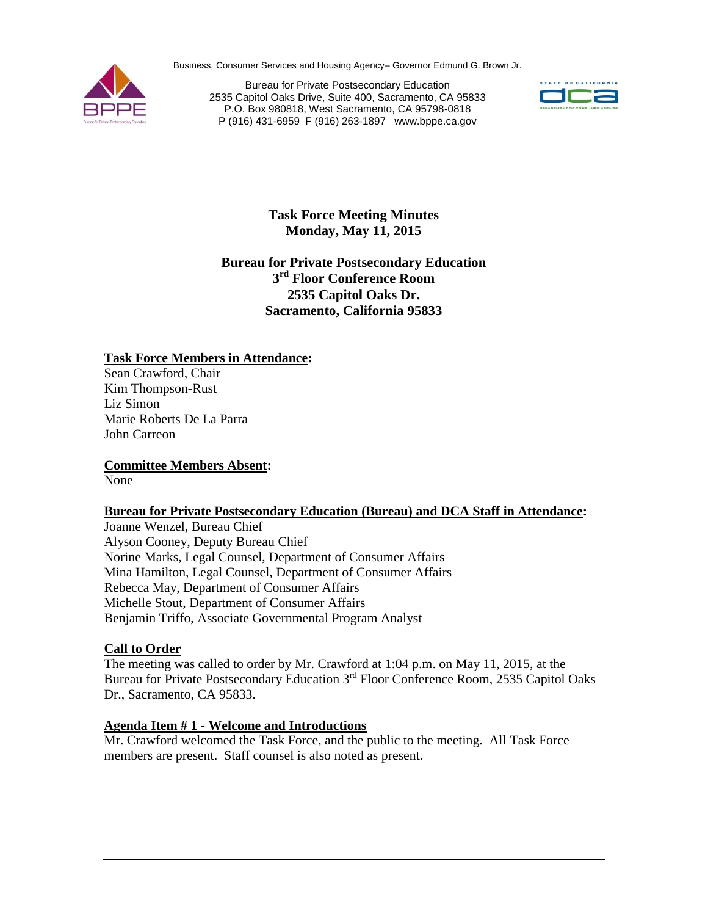Business, Consumer Services and Housing Agency– Governor Edmund G. Brown Jr.



 P (916) 431-6959 F (916) 263-1897 [www.bppe.ca.gov](http://www.bppe.ca.gov) Bureau for Private Postsecondary Education 2535 Capitol Oaks Drive, Suite 400, Sacramento, CA 95833 P.O. Box 980818, West Sacramento, CA 95798-0818



**Task Force Meeting Minutes Monday, May 11, 2015**

# **Bureau for Private Postsecondary Education**  $3<sup>rd</sup>$  **Floor Conference Room 2535 Capitol Oaks Dr. Sacramento, California 95833**

### **Task Force Members in Attendance:**

Sean Crawford, Chair Kim Thompson-Rust Liz Simon Marie Roberts De La Parra John Carreon

**Committee Members Absent:** 

None

# **Bureau for Private Postsecondary Education (Bureau) and DCA Staff in Attendance:**

Alyson Cooney, Deputy Bureau Chief Benjamin Triffo, Associate Governmental Program Analyst Joanne Wenzel, Bureau Chief Norine Marks, Legal Counsel, Department of Consumer Affairs Mina Hamilton, Legal Counsel, Department of Consumer Affairs Rebecca May, Department of Consumer Affairs Michelle Stout, Department of Consumer Affairs

# **Call to Order**

The meeting was called to order by Mr. Crawford at 1:04 p.m. on May 11, 2015, at the Bureau for Private Postsecondary Education 3<sup>rd</sup> Floor Conference Room, 2535 Capitol Oaks Dr., Sacramento, CA 95833.

#### **Agenda Item # 1 - Welcome and Introductions**

Mr. Crawford welcomed the Task Force, and the public to the meeting. All Task Force members are present. Staff counsel is also noted as present.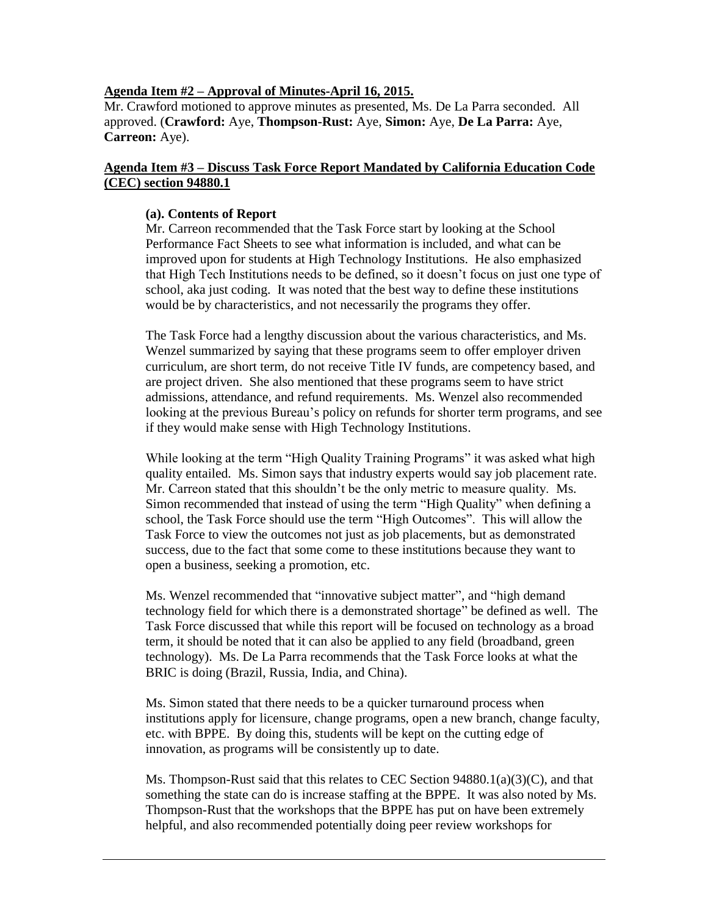#### **Agenda Item #2 – Approval of Minutes-April 16, 2015.**

 **Carreon:** Aye). Mr. Crawford motioned to approve minutes as presented, Ms. De La Parra seconded. All approved. (**Crawford:** Aye, **Thompson-Rust:** Aye, **Simon:** Aye, **De La Parra:** Aye,

## **Agenda Item #3 – Discuss Task Force Report Mandated by California Education Code (CEC) section 94880.1**

### **(a). Contents of Report**

 Mr. Carreon recommended that the Task Force start by looking at the School Performance Fact Sheets to see what information is included, and what can be improved upon for students at High Technology Institutions. He also emphasized that High Tech Institutions needs to be defined, so it doesn't focus on just one type of school, aka just coding. It was noted that the best way to define these institutions would be by characteristics, and not necessarily the programs they offer.

 curriculum, are short term, do not receive Title IV funds, are competency based, and The Task Force had a lengthy discussion about the various characteristics, and Ms. Wenzel summarized by saying that these programs seem to offer employer driven are project driven. She also mentioned that these programs seem to have strict admissions, attendance, and refund requirements. Ms. Wenzel also recommended looking at the previous Bureau's policy on refunds for shorter term programs, and see if they would make sense with High Technology Institutions.

 While looking at the term "High Quality Training Programs" it was asked what high success, due to the fact that some come to these institutions because they want to quality entailed. Ms. Simon says that industry experts would say job placement rate. Mr. Carreon stated that this shouldn't be the only metric to measure quality. Ms. Simon recommended that instead of using the term "High Quality" when defining a school, the Task Force should use the term "High Outcomes". This will allow the Task Force to view the outcomes not just as job placements, but as demonstrated open a business, seeking a promotion, etc.

 technology field for which there is a demonstrated shortage" be defined as well. The BRIC is doing (Brazil, Russia, India, and China). Ms. Wenzel recommended that "innovative subject matter", and "high demand Task Force discussed that while this report will be focused on technology as a broad term, it should be noted that it can also be applied to any field (broadband, green technology). Ms. De La Parra recommends that the Task Force looks at what the

BRIC is doing (Brazil, Russia, India, and China).<br>Ms. Simon stated that there needs to be a quicker turnaround process when innovation, as programs will be consistently up to date. institutions apply for licensure, change programs, open a new branch, change faculty, etc. with BPPE. By doing this, students will be kept on the cutting edge of

Ms. Thompson-Rust said that this relates to CEC Section  $94880.1(a)(3)(C)$ , and that something the state can do is increase staffing at the BPPE. It was also noted by Ms. Thompson-Rust that the workshops that the BPPE has put on have been extremely helpful, and also recommended potentially doing peer review workshops for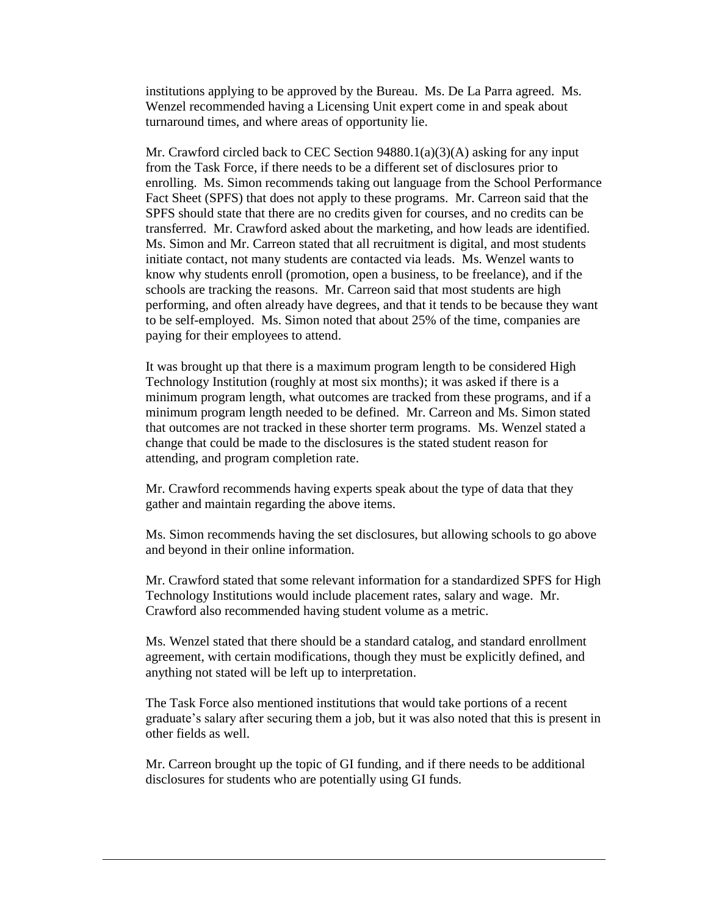institutions applying to be approved by the Bureau. Ms. De La Parra agreed. Ms. Wenzel recommended having a Licensing Unit expert come in and speak about turnaround times, and where areas of opportunity lie.

 from the Task Force, if there needs to be a different set of disclosures prior to SPFS should state that there are no credits given for courses, and no credits can be know why students enroll (promotion, open a business, to be freelance), and if the schools are tracking the reasons. Mr. Carreon said that most students are high performing, and often already have degrees, and that it tends to be because they want to be self-employed. Ms. Simon noted that about 25% of the time, companies are paying for their employees to attend. Mr. Crawford circled back to CEC Section  $94880.1(a)(3)(A)$  asking for any input enrolling. Ms. Simon recommends taking out language from the School Performance Fact Sheet (SPFS) that does not apply to these programs. Mr. Carreon said that the transferred. Mr. Crawford asked about the marketing, and how leads are identified. Ms. Simon and Mr. Carreon stated that all recruitment is digital, and most students initiate contact, not many students are contacted via leads. Ms. Wenzel wants to

 minimum program length needed to be defined. Mr. Carreon and Ms. Simon stated change that could be made to the disclosures is the stated student reason for attending, and program completion rate. It was brought up that there is a maximum program length to be considered High Technology Institution (roughly at most six months); it was asked if there is a minimum program length, what outcomes are tracked from these programs, and if a that outcomes are not tracked in these shorter term programs. Ms. Wenzel stated a

Mr. Crawford recommends having experts speak about the type of data that they gather and maintain regarding the above items.

Ms. Simon recommends having the set disclosures, but allowing schools to go above and beyond in their online information.

 Crawford also recommended having student volume as a metric. Mr. Crawford stated that some relevant information for a standardized SPFS for High Technology Institutions would include placement rates, salary and wage. Mr.

 agreement, with certain modifications, though they must be explicitly defined, and Ms. Wenzel stated that there should be a standard catalog, and standard enrollment anything not stated will be left up to interpretation.

 other fields as well. The Task Force also mentioned institutions that would take portions of a recent graduate's salary after securing them a job, but it was also noted that this is present in

 disclosures for students who are potentially using GI funds. Mr. Carreon brought up the topic of GI funding, and if there needs to be additional